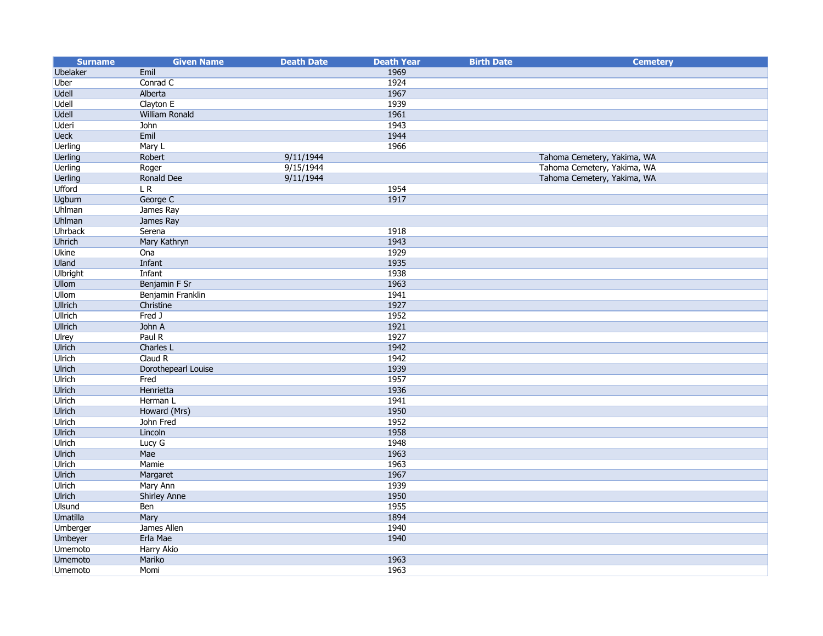| <b>Surname</b>                   | <b>Given Name</b>           | <b>Death Date</b> | <b>Death Year</b> | <b>Birth Date</b> | <b>Cemetery</b>             |
|----------------------------------|-----------------------------|-------------------|-------------------|-------------------|-----------------------------|
| <b>Ubelaker</b>                  | Emil                        |                   | 1969              |                   |                             |
| Uber                             | Conrad C                    |                   | 1924              |                   |                             |
| <b>Udell</b>                     | Alberta                     |                   | 1967              |                   |                             |
| <b>Udell</b>                     | Clayton E                   |                   | 1939              |                   |                             |
| <b>Udell</b>                     | <b>William Ronald</b>       |                   | 1961              |                   |                             |
| <b>Uderi</b>                     | John                        |                   | 1943              |                   |                             |
| <b>Ueck</b>                      | Emil                        |                   | 1944              |                   |                             |
| <b>Uerling</b>                   | Mary L                      |                   | 1966              |                   |                             |
| <b>Uerling</b>                   | Robert                      | 9/11/1944         |                   |                   | Tahoma Cemetery, Yakima, WA |
| <b>Uerling</b>                   | Roger                       | 9/15/1944         |                   |                   | Tahoma Cemetery, Yakima, WA |
| <b>Uerling</b>                   | Ronald Dee                  | 9/11/1944         |                   |                   | Tahoma Cemetery, Yakima, WA |
| <b>Ufford</b>                    | LR                          |                   | 1954              |                   |                             |
| <b>Ugburn</b>                    | George C                    |                   | 1917              |                   |                             |
| <b>Uhlman</b>                    | James Ray                   |                   |                   |                   |                             |
| <b>Uhlman</b>                    | James Ray                   |                   |                   |                   |                             |
| <b>Uhrback</b>                   | Serena                      |                   | 1918              |                   |                             |
| <b>Uhrich</b>                    | Mary Kathryn                |                   | 1943              |                   |                             |
| <b>Ukine</b>                     | Ona                         |                   | 1929              |                   |                             |
| Uland                            | Infant                      |                   | 1935              |                   |                             |
| <b>Ulbright</b>                  | Infant                      |                   | 1938              |                   |                             |
| <b>Ullom</b>                     | Benjamin F Sr               |                   | 1963              |                   |                             |
| <b>Ullom</b>                     | Benjamin Franklin           |                   | 1941              |                   |                             |
| <b>Ullrich</b>                   | Christine                   |                   | 1927              |                   |                             |
| <b>Ullrich</b>                   | Fred J                      |                   | 1952              |                   |                             |
| <b>Ullrich</b>                   | John A                      |                   | 1921              |                   |                             |
| Ulrey                            | Paul R                      |                   | 1927              |                   |                             |
| <b>Ulrich</b>                    | Charles L                   |                   | 1942              |                   |                             |
| <b>Ulrich</b>                    | Claud R                     |                   | 1942              |                   |                             |
| <b>Ulrich</b>                    | Dorothepearl Louise         |                   | 1939              |                   |                             |
| <b>Ulrich</b>                    | Fred                        |                   | 1957              |                   |                             |
| <b>Ulrich</b>                    | Henrietta                   |                   | 1936              |                   |                             |
| <b>Ulrich</b>                    | Herman L                    |                   | 1941              |                   |                             |
| <b>Ulrich</b>                    | Howard (Mrs)                |                   | 1950              |                   |                             |
| <b>Ulrich</b>                    | John Fred                   |                   | 1952              |                   |                             |
| <b>Ulrich</b>                    | Lincoln                     |                   | 1958              |                   |                             |
| <b>Ulrich</b>                    | Lucy G                      |                   | 1948              |                   |                             |
| <b>Ulrich</b>                    | Mae                         |                   | 1963              |                   |                             |
| <b>Ulrich</b>                    | Mamie                       |                   | 1963<br>1967      |                   |                             |
| <b>Ulrich</b>                    | Margaret                    |                   |                   |                   |                             |
| <b>Ulrich</b>                    | Mary Ann                    |                   | 1939              |                   |                             |
| <b>Ulrich</b>                    | <b>Shirley Anne</b>         |                   | 1950<br>1955      |                   |                             |
| <b>Ulsund</b><br><b>Umatilla</b> | Ben                         |                   | 1894              |                   |                             |
|                                  | Mary<br>James Allen         |                   |                   |                   |                             |
| Umberger                         | Erla Mae                    |                   | 1940<br>1940      |                   |                             |
| Umbeyer<br><b>Umemoto</b>        |                             |                   |                   |                   |                             |
| <b>Umemoto</b>                   | <b>Harry Akio</b><br>Mariko |                   | 1963              |                   |                             |
| Umemoto                          | Momi                        |                   | 1963              |                   |                             |
|                                  |                             |                   |                   |                   |                             |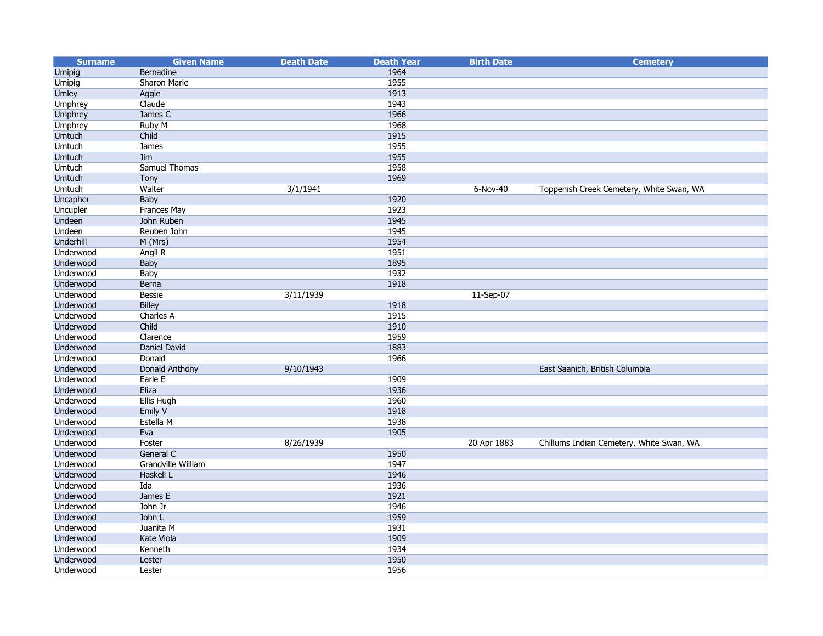| <b>Surname</b>   | <b>Given Name</b>         | <b>Death Date</b> | <b>Death Year</b> | <b>Birth Date</b> | <b>Cemetery</b>                          |
|------------------|---------------------------|-------------------|-------------------|-------------------|------------------------------------------|
| Umipig           | Bernadine                 |                   | 1964              |                   |                                          |
| Umipig           | Sharon Marie              |                   | 1955              |                   |                                          |
| <b>Umley</b>     | Aggie                     |                   | 1913              |                   |                                          |
| <b>Umphrey</b>   | Claude                    |                   | 1943              |                   |                                          |
| <b>Umphrey</b>   | James C                   |                   | 1966              |                   |                                          |
| <b>Umphrey</b>   | <b>Ruby M</b>             |                   | 1968              |                   |                                          |
| <b>Umtuch</b>    | Child                     |                   | 1915              |                   |                                          |
| <b>Umtuch</b>    | James                     |                   | 1955              |                   |                                          |
| <b>Umtuch</b>    | Jim                       |                   | 1955              |                   |                                          |
| <b>Umtuch</b>    | <b>Samuel Thomas</b>      |                   | 1958              |                   |                                          |
| <b>Umtuch</b>    | Tony                      |                   | 1969              |                   |                                          |
| <b>Umtuch</b>    | Walter                    | 3/1/1941          |                   | $6-Nov-40$        | Toppenish Creek Cemetery, White Swan, WA |
| Uncapher         | Baby                      |                   | 1920              |                   |                                          |
| <b>Uncupler</b>  | <b>Frances May</b>        |                   | 1923              |                   |                                          |
| <b>Undeen</b>    | John Ruben                |                   | 1945              |                   |                                          |
| <b>Undeen</b>    | Reuben John               |                   | 1945              |                   |                                          |
| <b>Underhill</b> | M (Mrs)                   |                   | 1954              |                   |                                          |
| Underwood        | Angil R                   |                   | 1951              |                   |                                          |
| <b>Underwood</b> | <b>Baby</b>               |                   | 1895              |                   |                                          |
| Underwood        | Baby                      |                   | 1932              |                   |                                          |
| Underwood        | Berna                     |                   | 1918              |                   |                                          |
| Underwood        | Bessie                    | 3/11/1939         |                   | 11-Sep-07         |                                          |
| <b>Underwood</b> | <b>Billey</b>             |                   | 1918              |                   |                                          |
| Underwood        | Charles A                 |                   | 1915              |                   |                                          |
| Underwood        | Child                     |                   | 1910              |                   |                                          |
| Underwood        | Clarence                  |                   | 1959              |                   |                                          |
| <b>Underwood</b> | <b>Daniel David</b>       |                   | 1883              |                   |                                          |
| Underwood        | Donald                    |                   | 1966              |                   |                                          |
| <b>Underwood</b> | Donald Anthony            | 9/10/1943         |                   |                   | East Saanich, British Columbia           |
| Underwood        | Earle E                   |                   | 1909              |                   |                                          |
| <b>Underwood</b> | Eliza                     |                   | 1936              |                   |                                          |
| Underwood        | Ellis Hugh                |                   | 1960              |                   |                                          |
| <b>Underwood</b> | Emily V                   |                   | 1918              |                   |                                          |
| Underwood        | Estella M                 |                   | 1938              |                   |                                          |
| <b>Underwood</b> | Eva                       |                   | 1905              |                   |                                          |
| Underwood        | Foster                    | 8/26/1939         |                   | 20 Apr 1883       | Chillums Indian Cemetery, White Swan, WA |
| Underwood        | General C                 |                   | 1950              |                   |                                          |
| Underwood        | <b>Grandville William</b> |                   | 1947              |                   |                                          |
| Underwood        | Haskell L                 |                   | 1946              |                   |                                          |
| Underwood        | Ida                       |                   | 1936              |                   |                                          |
| <b>Underwood</b> | James E                   |                   | 1921              |                   |                                          |
| Underwood        | John Jr                   |                   | 1946              |                   |                                          |
| <b>Underwood</b> | John L                    |                   | 1959              |                   |                                          |
| <b>Underwood</b> | Juanita M                 |                   | 1931              |                   |                                          |
| Underwood        | Kate Viola                |                   | 1909              |                   |                                          |
| Underwood        | Kenneth                   |                   | 1934              |                   |                                          |
| <b>Underwood</b> | Lester                    |                   | 1950              |                   |                                          |
| Underwood        | Lester                    |                   | 1956              |                   |                                          |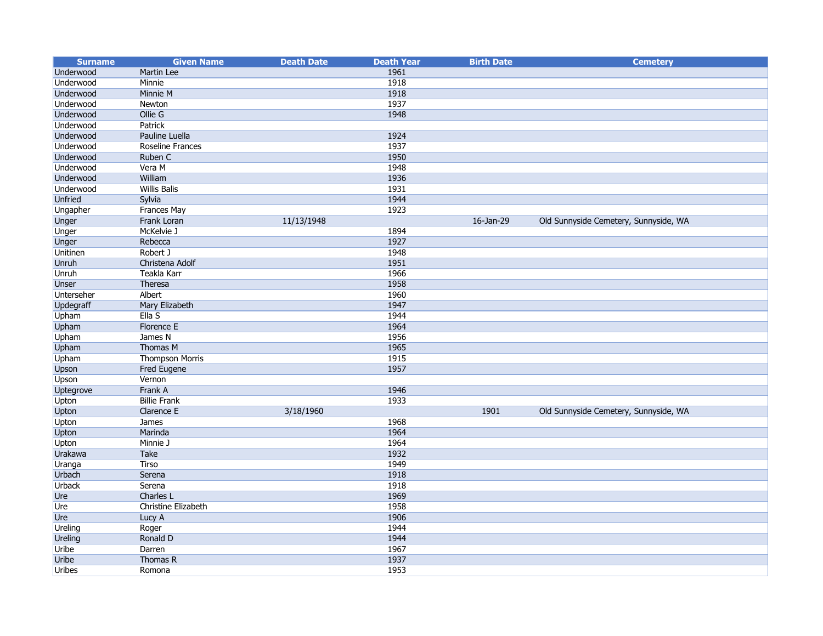| <b>Surname</b>   | <b>Given Name</b>       | <b>Death Date</b> | <b>Death Year</b> | <b>Birth Date</b> | <b>Cemetery</b>                       |
|------------------|-------------------------|-------------------|-------------------|-------------------|---------------------------------------|
| Underwood        | Martin Lee              |                   | 1961              |                   |                                       |
| Underwood        | Minnie                  |                   | 1918              |                   |                                       |
| Underwood        | Minnie M                |                   | 1918              |                   |                                       |
| Underwood        | Newton                  |                   | 1937              |                   |                                       |
| Underwood        | Ollie G                 |                   | 1948              |                   |                                       |
| Underwood        | Patrick                 |                   |                   |                   |                                       |
| Underwood        | <b>Pauline Luella</b>   |                   | 1924              |                   |                                       |
| Underwood        | <b>Roseline Frances</b> |                   | 1937              |                   |                                       |
| Underwood        | Ruben C                 |                   | 1950              |                   |                                       |
| Underwood        | Vera M                  |                   | 1948              |                   |                                       |
| Underwood        | William                 |                   | 1936              |                   |                                       |
| Underwood        | <b>Willis Balis</b>     |                   | 1931              |                   |                                       |
| <b>Unfried</b>   | Sylvia                  |                   | 1944              |                   |                                       |
| Ungapher         | <b>Frances May</b>      |                   | 1923              |                   |                                       |
| Unger            | Frank Loran             | 11/13/1948        |                   | 16-Jan-29         | Old Sunnyside Cemetery, Sunnyside, WA |
| Unger            | McKelvie J              |                   | 1894              |                   |                                       |
| Unger            | Rebecca                 |                   | 1927              |                   |                                       |
| Unitinen         | Robert J                |                   | 1948              |                   |                                       |
| Unruh            | Christena Adolf         |                   | 1951              |                   |                                       |
| Unruh            | <b>Teakla Karr</b>      |                   | 1966              |                   |                                       |
| <b>Unser</b>     | Theresa                 |                   | 1958              |                   |                                       |
| Unterseher       | Albert                  |                   | 1960              |                   |                                       |
| <b>Updegraff</b> | Mary Elizabeth          |                   | 1947              |                   |                                       |
| Upham            | Ella S                  |                   | 1944              |                   |                                       |
| Upham            | <b>Florence E</b>       |                   | 1964              |                   |                                       |
| Upham            | James N                 |                   | 1956              |                   |                                       |
| Upham            | Thomas M                |                   | 1965              |                   |                                       |
| Upham            | <b>Thompson Morris</b>  |                   | 1915              |                   |                                       |
| Upson            | <b>Fred Eugene</b>      |                   | 1957              |                   |                                       |
| Upson            | Vernon                  |                   |                   |                   |                                       |
| Uptegrove        | Frank A                 |                   | 1946              |                   |                                       |
| Upton            | <b>Billie Frank</b>     |                   | 1933              |                   |                                       |
| Upton            | Clarence E              | 3/18/1960         |                   | 1901              | Old Sunnyside Cemetery, Sunnyside, WA |
| Upton            | <b>James</b>            |                   | 1968              |                   |                                       |
| Upton            | Marinda                 |                   | 1964              |                   |                                       |
| Upton            | Minnie J                |                   | 1964              |                   |                                       |
| Urakawa          | Take                    |                   | 1932              |                   |                                       |
| Uranga           | <b>Tirso</b>            |                   | 1949              |                   |                                       |
| Urbach           | Serena                  |                   | 1918              |                   |                                       |
| Urback           | Serena                  |                   | 1918              |                   |                                       |
| Ure              | Charles L               |                   | 1969              |                   |                                       |
| Ure              | Christine Elizabeth     |                   | 1958              |                   |                                       |
| Ure              | Lucy A                  |                   | 1906              |                   |                                       |
| Ureling          | Roger                   |                   | 1944              |                   |                                       |
| <b>Ureling</b>   | Ronald D                |                   | 1944              |                   |                                       |
| Uribe            | Darren                  |                   | 1967              |                   |                                       |
| <b>Uribe</b>     | Thomas R                |                   | 1937              |                   |                                       |
| Uribes           | Romona                  |                   | 1953              |                   |                                       |